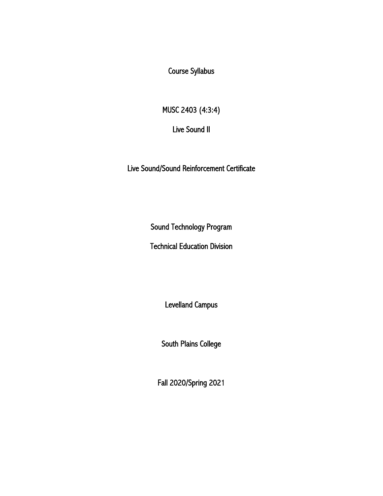Course Syllabus

MUSC 2403 (4:3:4)

Live Sound II

Live Sound/Sound Reinforcement Certificate

Sound Technology Program

Technical Education Division

Levelland Campus

South Plains College

Fall 2020/Spring 2021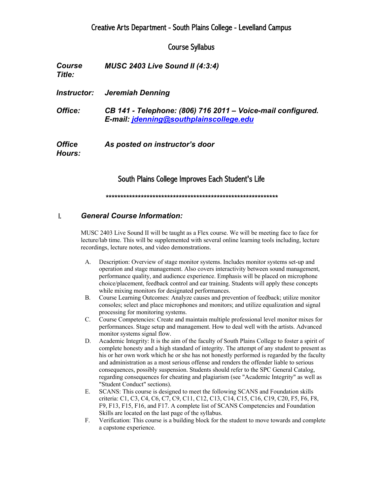# Creative Arts Department - South Plains College - Levelland Campus

## Course Syllabus

| <b>Course</b><br>Title: | MUSC 2403 Live Sound II $(4:3:4)$                                                                      |
|-------------------------|--------------------------------------------------------------------------------------------------------|
| <i>Instructor:</i>      | Jeremiah Denning                                                                                       |
| Office:                 | CB 141 - Telephone: (806) 716 2011 – Voice-mail configured.<br>E-mail: jdenning@southplainscollege.edu |
| <b>Office</b><br>Hours: | As posted on instructor's door                                                                         |

### South Plains College Improves Each Student's Life

*\*\*\*\*\*\*\*\*\*\*\*\*\*\*\*\*\*\*\*\*\*\*\*\*\*\*\*\*\*\*\*\*\*\*\*\*\*\*\*\*\*\*\*\*\*\*\*\*\*\*\*\*\*\*\*\*\*\*\**

#### I. *General Course Information:*

MUSC 2403 Live Sound II will be taught as a Flex course. We will be meeting face to face for lecture/lab time. This will be supplemented with several online learning tools including, lecture recordings, lecture notes, and video demonstrations.

- A. Description: Overview of stage monitor systems. Includes monitor systems set-up and operation and stage management. Also covers interactivity between sound management, performance quality, and audience experience. Emphasis will be placed on microphone choice/placement, feedback control and ear training. Students will apply these concepts while mixing monitors for designated performances.
- B. Course Learning Outcomes: Analyze causes and prevention of feedback; utilize monitor consoles; select and place microphones and monitors; and utilize equalization and signal processing for monitoring systems.
- C. Course Competencies: Create and maintain multiple professional level monitor mixes for performances. Stage setup and management. How to deal well with the artists. Advanced monitor systems signal flow.
- D. Academic Integrity: It is the aim of the faculty of South Plains College to foster a spirit of complete honesty and a high standard of integrity. The attempt of any student to present as his or her own work which he or she has not honestly performed is regarded by the faculty and administration as a most serious offense and renders the offender liable to serious consequences, possibly suspension. Students should refer to the SPC General Catalog, regarding consequences for cheating and plagiarism (see "Academic Integrity" as well as "Student Conduct" sections).
- E. SCANS: This course is designed to meet the following SCANS and Foundation skills criteria: C1, C3, C4, C6, C7, C9, C11, C12, C13, C14, C15, C16, C19, C20, F5, F6, F8, F9, F13, F15, F16, and F17. A complete list of SCANS Competencies and Foundation Skills are located on the last page of the syllabus.
- F. Verification: This course is a building block for the student to move towards and complete a capstone experience.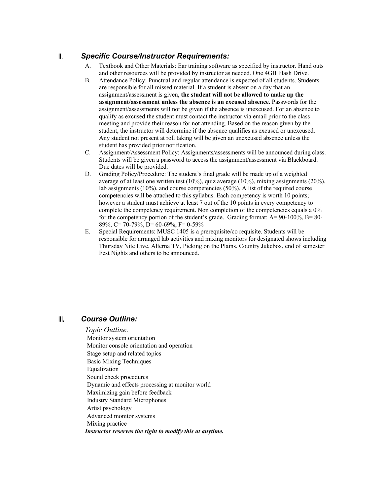#### II. *Specific Course/Instructor Requirements:*

- A. Textbook and Other Materials: Ear training software as specified by instructor. Hand outs and other resources will be provided by instructor as needed. One 4GB Flash Drive.
- B. Attendance Policy: Punctual and regular attendance is expected of all students. Students are responsible for all missed material. If a student is absent on a day that an assignment/assessment is given, **the student will not be allowed to make up the assignment/assessment unless the absence is an excused absence.** Passwords for the assignment/assessments will not be given if the absence is unexcused. For an absence to qualify as excused the student must contact the instructor via email prior to the class meeting and provide their reason for not attending. Based on the reason given by the student, the instructor will determine if the absence qualifies as excused or unexcused. Any student not present at roll taking will be given an unexcused absence unless the student has provided prior notification.
- C. Assignment/Assessment Policy: Assignments/assessments will be announced during class. Students will be given a password to access the assignment/assessment via Blackboard. Due dates will be provided.
- D. Grading Policy/Procedure: The student's final grade will be made up of a weighted average of at least one written test (10%), quiz average (10%), mixing assignments (20%), lab assignments (10%), and course competencies (50%). A list of the required course competencies will be attached to this syllabus. Each competency is worth 10 points; however a student must achieve at least 7 out of the 10 points in every competency to complete the competency requirement. Non completion of the competencies equals a 0% for the competency portion of the student's grade. Grading format: A= 90-100%, B= 80- 89%, C= 70-79%, D= 60-69%, F= 0-59%
- E. Special Requirements: MUSC 1405 is a prerequisite/co requisite. Students will be responsible for arranged lab activities and mixing monitors for designated shows including Thursday Nite Live, Alterna TV, Picking on the Plains, Country Jukebox, end of semester Fest Nights and others to be announced.

## III. *Course Outline:*

#### *Topic Outline:*

Monitor system orientation Monitor console orientation and operation Stage setup and related topics Basic Mixing Techniques Equalization Sound check procedures Dynamic and effects processing at monitor world Maximizing gain before feedback Industry Standard Microphones Artist psychology Advanced monitor systems Mixing practice *Instructor reserves the right to modify this at anytime.*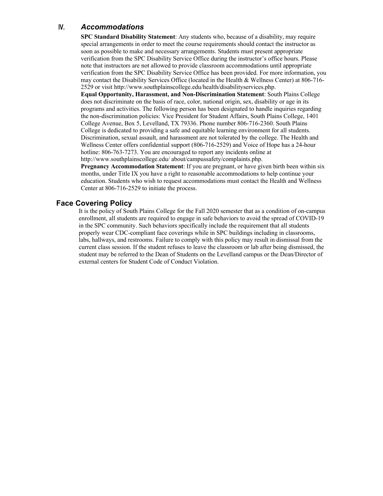#### IV. *Accommodations*

**SPC Standard Disability Statement**: Any students who, because of a disability, may require special arrangements in order to meet the course requirements should contact the instructor as soon as possible to make and necessary arrangements. Students must present appropriate verification from the SPC Disability Service Office during the instructor's office hours. Please note that instructors are not allowed to provide classroom accommodations until appropriate verification from the SPC Disability Service Office has been provided. For more information, you may contact the Disability Services Office (located in the Health & Wellness Center) at 806-716- 2529 or visit http://www.southplainscollege.edu/health/disabilityservices.php.

**Equal Opportunity, Harassment, and Non-Discrimination Statement**: South Plains College does not discriminate on the basis of race, color, national origin, sex, disability or age in its programs and activities. The following person has been designated to handle inquiries regarding the non-discrimination policies: Vice President for Student Affairs, South Plains College, 1401 College Avenue, Box 5, Levelland, TX 79336. Phone number 806-716-2360. South Plains College is dedicated to providing a safe and equitable learning environment for all students. Discrimination, sexual assault, and harassment are not tolerated by the college. The Health and Wellness Center offers confidential support (806-716-2529) and Voice of Hope has a 24-hour hotline: 806-763-7273. You are encouraged to report any incidents online at http://www.southplainscollege.edu/ about/campussafety/complaints.php.

**Pregnancy Accommodation Statement**: If you are pregnant, or have given birth been within six months, under Title IX you have a right to reasonable accommodations to help continue your education. Students who wish to request accommodations must contact the Health and Wellness Center at 806-716-2529 to initiate the process.

### **Face Covering Policy**

It is the policy of South Plains College for the Fall 2020 semester that as a condition of on-campus enrollment, all students are required to engage in safe behaviors to avoid the spread of COVID-19 in the SPC community. Such behaviors specifically include the requirement that all students properly wear CDC-compliant face coverings while in SPC buildings including in classrooms, labs, hallways, and restrooms. Failure to comply with this policy may result in dismissal from the current class session. If the student refuses to leave the classroom or lab after being dismissed, the student may be referred to the Dean of Students on the Levelland campus or the Dean/Director of external centers for Student Code of Conduct Violation.